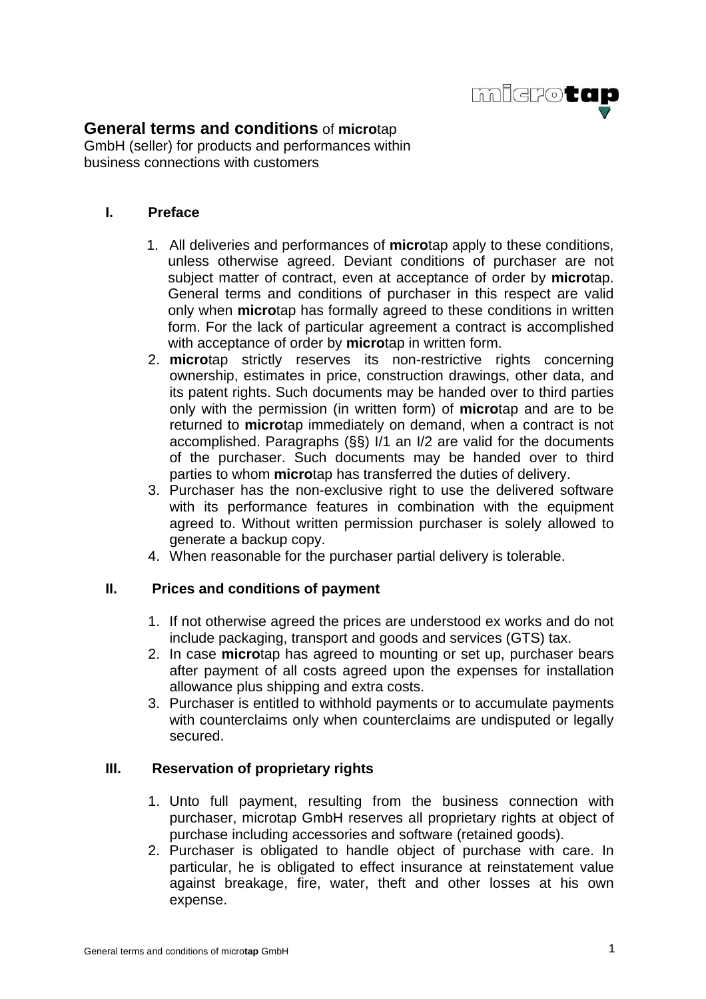

# **General terms and conditions** of **micro**tap

GmbH (seller) for products and performances within business connections with customers

## **I. Preface**

- 1. All deliveries and performances of **micro**tap apply to these conditions, unless otherwise agreed. Deviant conditions of purchaser are not subject matter of contract, even at acceptance of order by **micro**tap. General terms and conditions of purchaser in this respect are valid only when **micro**tap has formally agreed to these conditions in written form. For the lack of particular agreement a contract is accomplished with acceptance of order by **micro**tap in written form.
- 2. **micro**tap strictly reserves its non-restrictive rights concerning ownership, estimates in price, construction drawings, other data, and its patent rights. Such documents may be handed over to third parties only with the permission (in written form) of **micro**tap and are to be returned to **micro**tap immediately on demand, when a contract is not accomplished. Paragraphs (§§) I/1 an I/2 are valid for the documents of the purchaser. Such documents may be handed over to third parties to whom **micro**tap has transferred the duties of delivery.
- 3. Purchaser has the non-exclusive right to use the delivered software with its performance features in combination with the equipment agreed to. Without written permission purchaser is solely allowed to generate a backup copy.
- 4. When reasonable for the purchaser partial delivery is tolerable.

#### **II. Prices and conditions of payment**

- 1. If not otherwise agreed the prices are understood ex works and do not include packaging, transport and goods and services (GTS) tax.
- 2. In case **micro**tap has agreed to mounting or set up, purchaser bears after payment of all costs agreed upon the expenses for installation allowance plus shipping and extra costs.
- 3. Purchaser is entitled to withhold payments or to accumulate payments with counterclaims only when counterclaims are undisputed or legally secured.

#### **III. Reservation of proprietary rights**

- 1. Unto full payment, resulting from the business connection with purchaser, microtap GmbH reserves all proprietary rights at object of purchase including accessories and software (retained goods).
- 2. Purchaser is obligated to handle object of purchase with care. In particular, he is obligated to effect insurance at reinstatement value against breakage, fire, water, theft and other losses at his own expense.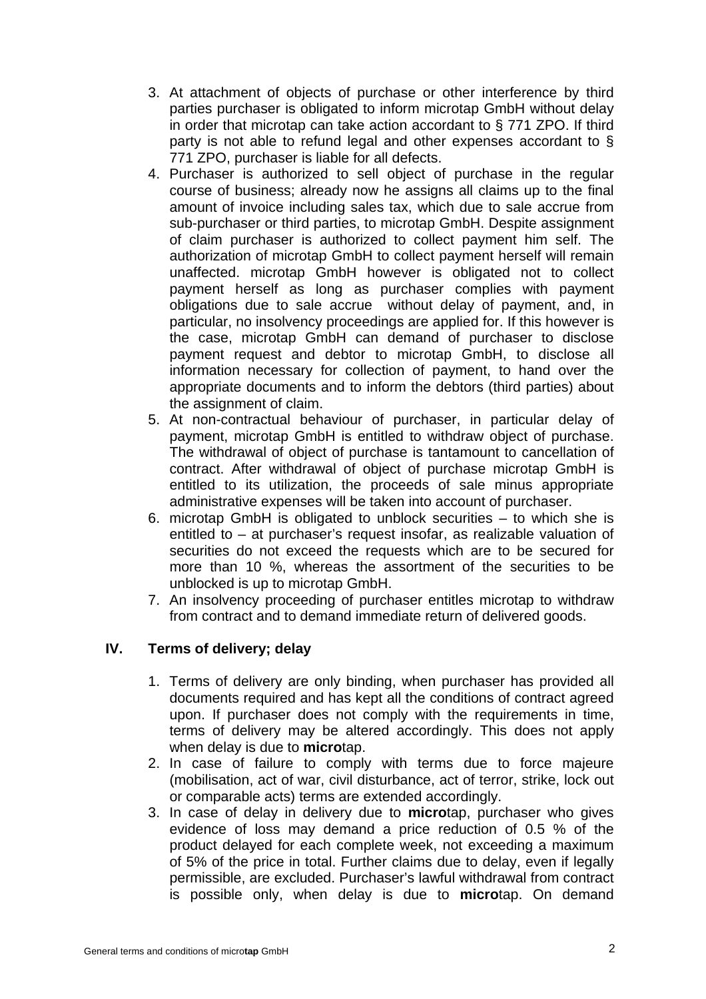- 3. At attachment of objects of purchase or other interference by third parties purchaser is obligated to inform microtap GmbH without delay in order that microtap can take action accordant to § 771 ZPO. If third party is not able to refund legal and other expenses accordant to § 771 ZPO, purchaser is liable for all defects.
- 4. Purchaser is authorized to sell object of purchase in the regular course of business; already now he assigns all claims up to the final amount of invoice including sales tax, which due to sale accrue from sub-purchaser or third parties, to microtap GmbH. Despite assignment of claim purchaser is authorized to collect payment him self. The authorization of microtap GmbH to collect payment herself will remain unaffected. microtap GmbH however is obligated not to collect payment herself as long as purchaser complies with payment obligations due to sale accrue without delay of payment, and, in particular, no insolvency proceedings are applied for. If this however is the case, microtap GmbH can demand of purchaser to disclose payment request and debtor to microtap GmbH, to disclose all information necessary for collection of payment, to hand over the appropriate documents and to inform the debtors (third parties) about the assignment of claim.
- 5. At non-contractual behaviour of purchaser, in particular delay of payment, microtap GmbH is entitled to withdraw object of purchase. The withdrawal of object of purchase is tantamount to cancellation of contract. After withdrawal of object of purchase microtap GmbH is entitled to its utilization, the proceeds of sale minus appropriate administrative expenses will be taken into account of purchaser.
- 6. microtap GmbH is obligated to unblock securities to which she is entitled to – at purchaser's request insofar, as realizable valuation of securities do not exceed the requests which are to be secured for more than 10 %, whereas the assortment of the securities to be unblocked is up to microtap GmbH.
- 7. An insolvency proceeding of purchaser entitles microtap to withdraw from contract and to demand immediate return of delivered goods.

# **IV. Terms of delivery; delay**

- 1. Terms of delivery are only binding, when purchaser has provided all documents required and has kept all the conditions of contract agreed upon. If purchaser does not comply with the requirements in time, terms of delivery may be altered accordingly. This does not apply when delay is due to **micro**tap.
- 2. In case of failure to comply with terms due to force majeure (mobilisation, act of war, civil disturbance, act of terror, strike, lock out or comparable acts) terms are extended accordingly.
- 3. In case of delay in delivery due to **micro**tap, purchaser who gives evidence of loss may demand a price reduction of 0.5 % of the product delayed for each complete week, not exceeding a maximum of 5% of the price in total. Further claims due to delay, even if legally permissible, are excluded. Purchaser's lawful withdrawal from contract is possible only, when delay is due to **micro**tap. On demand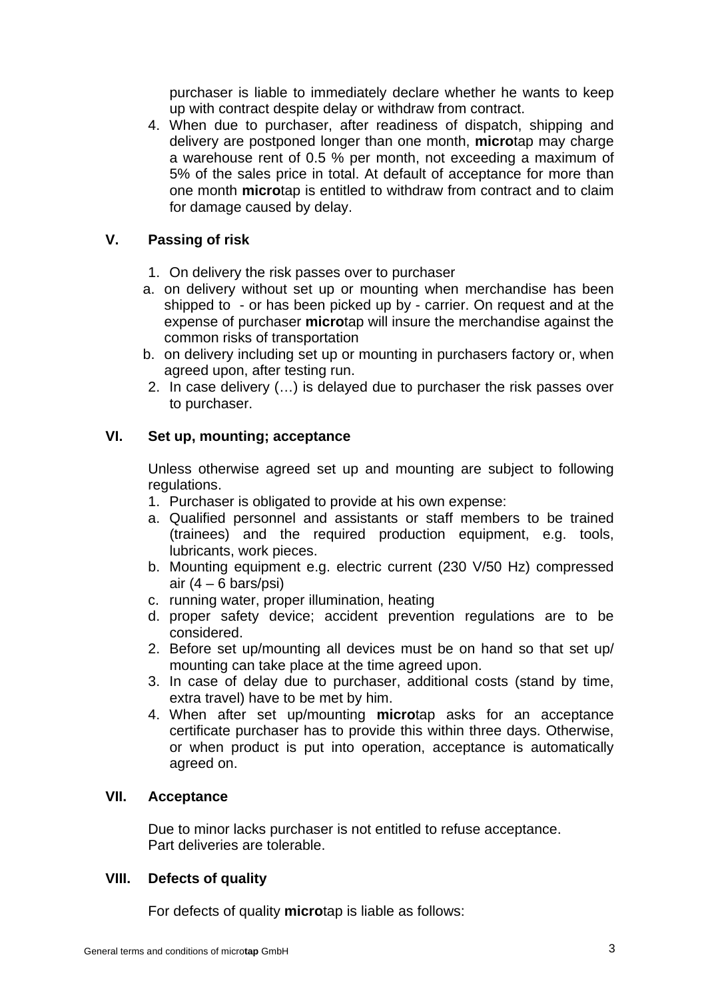purchaser is liable to immediately declare whether he wants to keep up with contract despite delay or withdraw from contract.

4. When due to purchaser, after readiness of dispatch, shipping and delivery are postponed longer than one month, **micro**tap may charge a warehouse rent of 0.5 % per month, not exceeding a maximum of 5% of the sales price in total. At default of acceptance for more than one month **micro**tap is entitled to withdraw from contract and to claim for damage caused by delay.

## **V. Passing of risk**

- 1. On delivery the risk passes over to purchaser
- a. on delivery without set up or mounting when merchandise has been shipped to - or has been picked up by - carrier. On request and at the expense of purchaser **micro**tap will insure the merchandise against the common risks of transportation
- b. on delivery including set up or mounting in purchasers factory or, when agreed upon, after testing run.
- 2. In case delivery (…) is delayed due to purchaser the risk passes over to purchaser.

### **VI. Set up, mounting; acceptance**

Unless otherwise agreed set up and mounting are subject to following regulations.

- 1. Purchaser is obligated to provide at his own expense:
- a. Qualified personnel and assistants or staff members to be trained (trainees) and the required production equipment, e.g. tools, lubricants, work pieces.
- b. Mounting equipment e.g. electric current (230 V/50 Hz) compressed air  $(4 - 6 \text{ bars/psi})$
- c. running water, proper illumination, heating
- d. proper safety device; accident prevention regulations are to be considered.
- 2. Before set up/mounting all devices must be on hand so that set up/ mounting can take place at the time agreed upon.
- 3. In case of delay due to purchaser, additional costs (stand by time, extra travel) have to be met by him.
- 4. When after set up/mounting **micro**tap asks for an acceptance certificate purchaser has to provide this within three days. Otherwise, or when product is put into operation, acceptance is automatically agreed on.

#### **VII. Acceptance**

Due to minor lacks purchaser is not entitled to refuse acceptance. Part deliveries are tolerable.

#### **VIII. Defects of quality**

For defects of quality **micro**tap is liable as follows: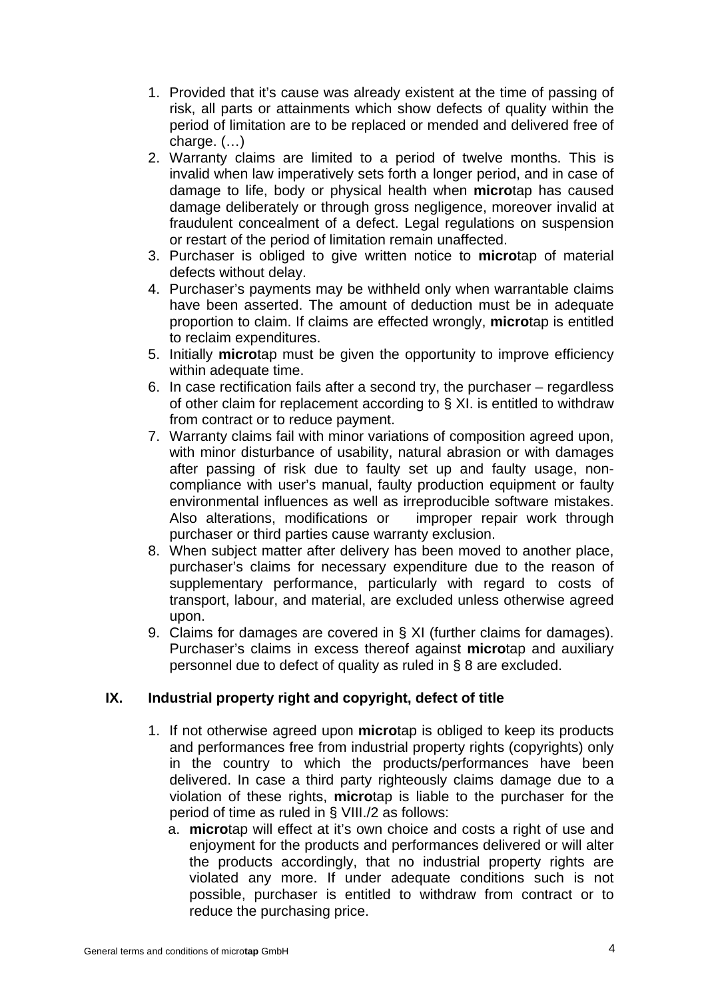- 1. Provided that it's cause was already existent at the time of passing of risk, all parts or attainments which show defects of quality within the period of limitation are to be replaced or mended and delivered free of charge. (…)
- 2. Warranty claims are limited to a period of twelve months. This is invalid when law imperatively sets forth a longer period, and in case of damage to life, body or physical health when **micro**tap has caused damage deliberately or through gross negligence, moreover invalid at fraudulent concealment of a defect. Legal regulations on suspension or restart of the period of limitation remain unaffected.
- 3. Purchaser is obliged to give written notice to **micro**tap of material defects without delay.
- 4. Purchaser's payments may be withheld only when warrantable claims have been asserted. The amount of deduction must be in adequate proportion to claim. If claims are effected wrongly, **micro**tap is entitled to reclaim expenditures.
- 5. Initially **micro**tap must be given the opportunity to improve efficiency within adequate time.
- 6. In case rectification fails after a second try, the purchaser regardless of other claim for replacement according to § XI. is entitled to withdraw from contract or to reduce payment.
- 7. Warranty claims fail with minor variations of composition agreed upon, with minor disturbance of usability, natural abrasion or with damages after passing of risk due to faulty set up and faulty usage, noncompliance with user's manual, faulty production equipment or faulty environmental influences as well as irreproducible software mistakes. Also alterations, modifications or improper repair work through purchaser or third parties cause warranty exclusion.
- 8. When subject matter after delivery has been moved to another place, purchaser's claims for necessary expenditure due to the reason of supplementary performance, particularly with regard to costs of transport, labour, and material, are excluded unless otherwise agreed upon.
- 9. Claims for damages are covered in § XI (further claims for damages). Purchaser's claims in excess thereof against **micro**tap and auxiliary personnel due to defect of quality as ruled in § 8 are excluded.

# **IX. Industrial property right and copyright, defect of title**

- 1. If not otherwise agreed upon **micro**tap is obliged to keep its products and performances free from industrial property rights (copyrights) only in the country to which the products/performances have been delivered. In case a third party righteously claims damage due to a violation of these rights, **micro**tap is liable to the purchaser for the period of time as ruled in § VIII./2 as follows:
	- a. **micro**tap will effect at it's own choice and costs a right of use and enjoyment for the products and performances delivered or will alter the products accordingly, that no industrial property rights are violated any more. If under adequate conditions such is not possible, purchaser is entitled to withdraw from contract or to reduce the purchasing price.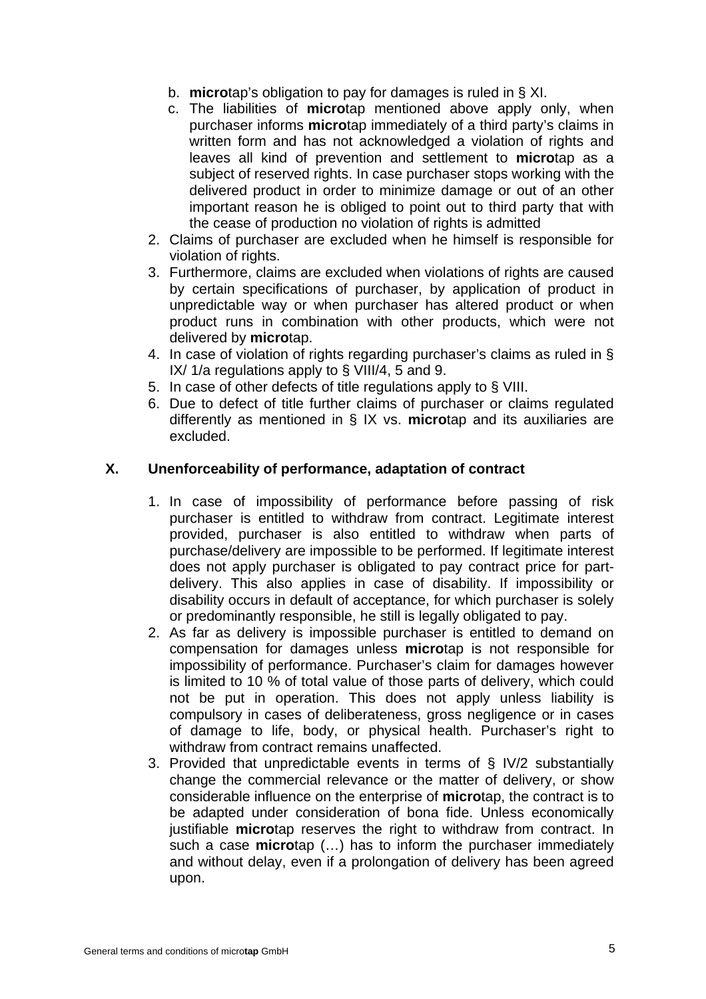- b. **micro**tap's obligation to pay for damages is ruled in § XI.
- c. The liabilities of **micro**tap mentioned above apply only, when purchaser informs **micro**tap immediately of a third party's claims in written form and has not acknowledged a violation of rights and leaves all kind of prevention and settlement to **micro**tap as a subject of reserved rights. In case purchaser stops working with the delivered product in order to minimize damage or out of an other important reason he is obliged to point out to third party that with the cease of production no violation of rights is admitted
- 2. Claims of purchaser are excluded when he himself is responsible for violation of rights.
- 3. Furthermore, claims are excluded when violations of rights are caused by certain specifications of purchaser, by application of product in unpredictable way or when purchaser has altered product or when product runs in combination with other products, which were not delivered by **micro**tap.
- 4. In case of violation of rights regarding purchaser's claims as ruled in § IX/ 1/a regulations apply to § VIII/4, 5 and 9.
- 5. In case of other defects of title regulations apply to § VIII.
- 6. Due to defect of title further claims of purchaser or claims regulated differently as mentioned in § IX vs. **micro**tap and its auxiliaries are excluded.

### **X. Unenforceability of performance, adaptation of contract**

- 1. In case of impossibility of performance before passing of risk purchaser is entitled to withdraw from contract. Legitimate interest provided, purchaser is also entitled to withdraw when parts of purchase/delivery are impossible to be performed. If legitimate interest does not apply purchaser is obligated to pay contract price for partdelivery. This also applies in case of disability. If impossibility or disability occurs in default of acceptance, for which purchaser is solely or predominantly responsible, he still is legally obligated to pay.
- 2. As far as delivery is impossible purchaser is entitled to demand on compensation for damages unless **micro**tap is not responsible for impossibility of performance. Purchaser's claim for damages however is limited to 10 % of total value of those parts of delivery, which could not be put in operation. This does not apply unless liability is compulsory in cases of deliberateness, gross negligence or in cases of damage to life, body, or physical health. Purchaser's right to withdraw from contract remains unaffected.
- 3. Provided that unpredictable events in terms of § IV/2 substantially change the commercial relevance or the matter of delivery, or show considerable influence on the enterprise of **micro**tap, the contract is to be adapted under consideration of bona fide. Unless economically justifiable **micro**tap reserves the right to withdraw from contract. In such a case **micro**tap (…) has to inform the purchaser immediately and without delay, even if a prolongation of delivery has been agreed upon.